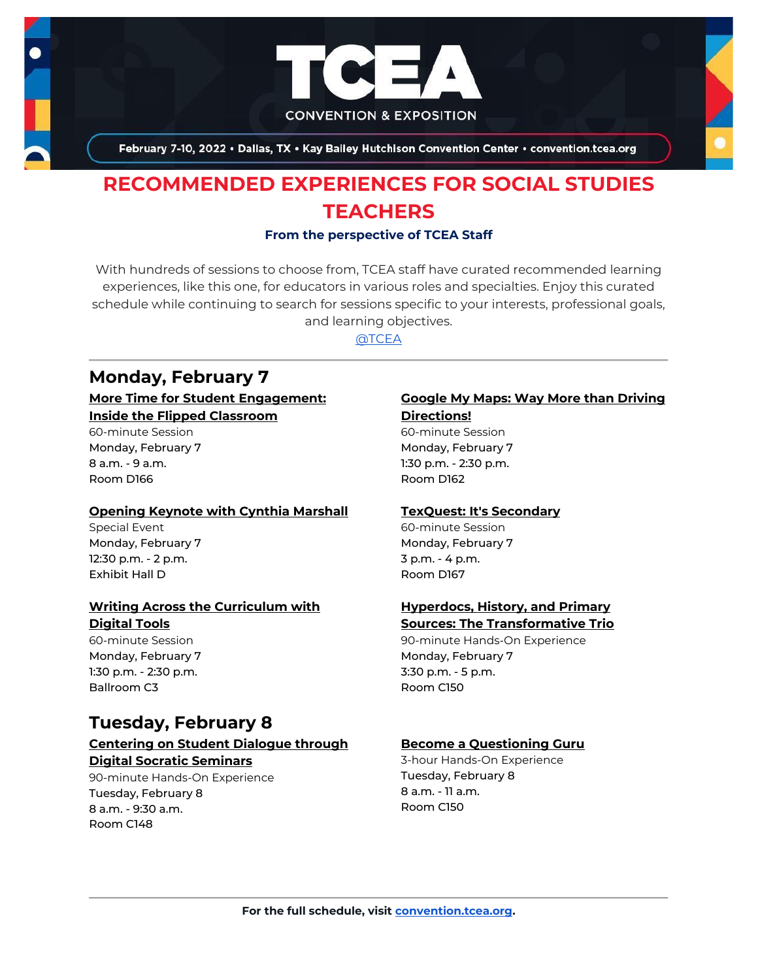

February 7-10, 2022 . Dallas, TX . Kay Bailey Hutchison Convention Center . convention.tcea.org

# **RECOMMENDED EXPERIENCES FOR SOCIAL STUDIES TEACHERS**

#### **From the perspective of TCEA Staff**

With hundreds of sessions to choose from, TCEA staff have curated recommended learning experiences, like this one, for educators in various roles and specialties. Enjoy this curated schedule while continuing to search for sessions specific to your interests, professional goals, and learning objectives.

[@TCEA](https://twitter.com/TCEA)

## **Monday, February 7**

#### **[More Time for Student Engagement:](https://register.tcea.org/2022/session_list.cfm?session_key=023D8642-F04D-A206-2B64-19D43D34C87E&session_date=Monday,%20Feb%2007,%202022)  [Inside the Flipped Classroom](https://register.tcea.org/2022/session_list.cfm?session_key=023D8642-F04D-A206-2B64-19D43D34C87E&session_date=Monday,%20Feb%2007,%202022)**

60-minute Session Monday, February 7 8 a.m. - 9 a.m. Room D166

#### **[Opening Keynote with Cynthia Marshall](https://register.tcea.org/2022/session_list.cfm?session_key=5F0745B8-F04D-A206-2B64-0D4631096E34&session_date=Monday,%20Feb%2007,%202022)**

Special Event Monday, February 7 12:30 p.m. - 2 p.m. Exhibit Hall D

#### **[Writing Across the Curriculum with](https://register.tcea.org/2022/session_list.cfm?session_key=02464766-F04D-A206-2B64-861511FE106A&session_date=Monday,%20Feb%2007,%202022)  [Digital Tools](https://register.tcea.org/2022/session_list.cfm?session_key=02464766-F04D-A206-2B64-861511FE106A&session_date=Monday,%20Feb%2007,%202022)**

60-minute Session Monday, February 7 1:30 p.m. - 2:30 p.m. Ballroom C3

## **Tuesday, February 8**

#### **[Centering on Student Dialogue through](https://register.tcea.org/2022/session_list.cfm?session_key=0233077C-F04D-A206-2B64-DD2527A246C0&session_date=Tuesday,%20Feb%2008,%202022)  [Digital Socratic Seminars](https://register.tcea.org/2022/session_list.cfm?session_key=0233077C-F04D-A206-2B64-DD2527A246C0&session_date=Tuesday,%20Feb%2008,%202022)**

90-minute Hands-On Experience Tuesday, February 8 8 a.m. - 9:30 a.m. Room C148

# **[Google My Maps: Way More than Driving](https://register.tcea.org/2022/session_list.cfm?session_key=023921A2-F04D-A206-2B64-CD8D3D7E6E58&session_date=Monday,%20Feb%2007,%202022)**

**[Directions!](https://register.tcea.org/2022/session_list.cfm?session_key=023921A2-F04D-A206-2B64-CD8D3D7E6E58&session_date=Monday,%20Feb%2007,%202022)** 60-minute Session Monday, February 7 1:30 p.m. - 2:30 p.m. Room D162

#### **[TexQuest: It's Secondary](https://register.tcea.org/2022/session_list.cfm?session_key=0242468E-F04D-A206-2B64-B92C5FB85845&session_date=Monday,%20Feb%2007,%202022)**

60-minute Session Monday, February 7 3 p.m. - 4 p.m. Room D167

#### **[Hyperdocs, History, and Primary](https://register.tcea.org/2022/session_list.cfm?session_key=0239E3D3-F04D-A206-2B64-6652B787B178&session_date=Monday,%20Feb%2007,%202022)  [Sources: The Transformative Trio](https://register.tcea.org/2022/session_list.cfm?session_key=0239E3D3-F04D-A206-2B64-6652B787B178&session_date=Monday,%20Feb%2007,%202022)**

90-minute Hands-On Experience Monday, February 7 3:30 p.m. - 5 p.m. Room C150

## **[Become a Questioning Guru](https://register.tcea.org/2022/session_list.cfm?session_key=02317D13-F04D-A206-2B64-55AFD821DD03&session_date=Tuesday,%20Feb%2008,%202022)**

3-hour Hands-On Experience Tuesday, February 8 8 a.m. - 11 a.m. Room C150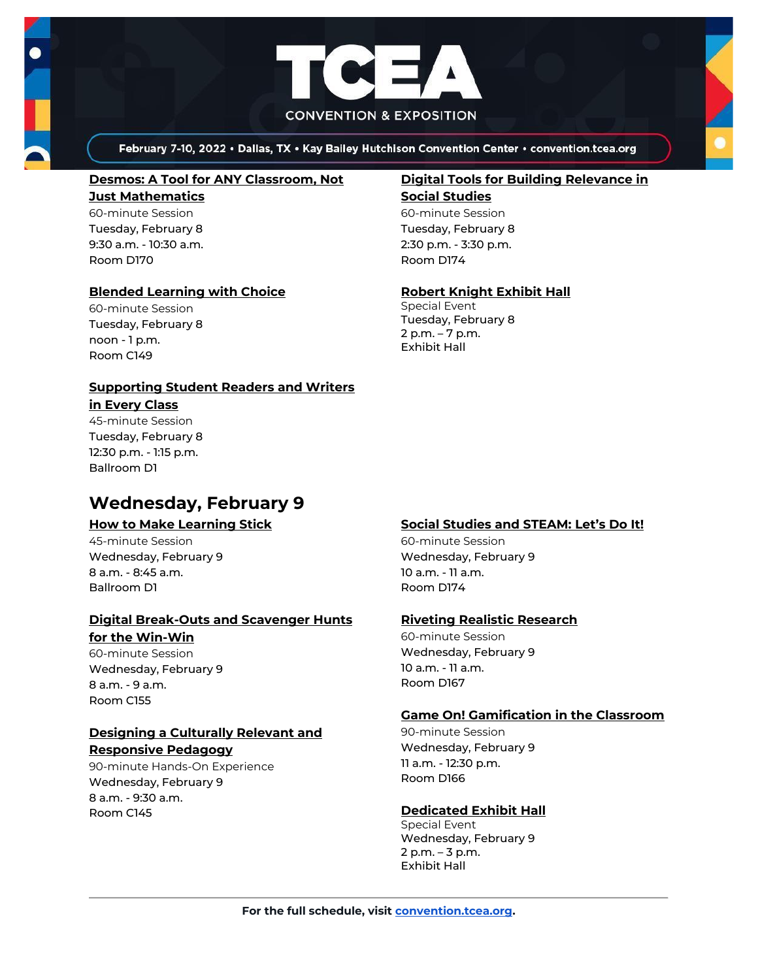



February 7-10, 2022 . Dallas, TX . Kay Bailey Hutchison Convention Center . convention.tcea.org

#### **[Desmos: A Tool for ANY Classroom, Not](https://register.tcea.org/2022/session_list.cfm?session_key=0235802E-F04D-A206-2B64-A3C812BACD6A&session_date=Tuesday,%20Feb%2008,%202022)**

**[Just Mathematics](https://register.tcea.org/2022/session_list.cfm?session_key=0235802E-F04D-A206-2B64-A3C812BACD6A&session_date=Tuesday,%20Feb%2008,%202022)** 60-minute Session Tuesday, February 8 9:30 a.m. - 10:30 a.m. Room D170

#### **[Blended Learning with Choice](https://register.tcea.org/2022/session_list.cfm?session_key=0231FDFA-F04D-A206-2B64-D1FB06269EC3&session_date=Tuesday,%20Feb%2008,%202022)**

60-minute Session Tuesday, February 8 noon - 1 p.m. Room C149

#### **[Supporting Student Readers and Writers](https://register.tcea.org/2022/session_list.cfm?session_key=CBC88EE5-F04D-A206-2B64-A6631F8C2BDF&session_date=Tuesday,%20Feb%2008,%202022)**

**[in Every Class](https://register.tcea.org/2022/session_list.cfm?session_key=CBC88EE5-F04D-A206-2B64-A6631F8C2BDF&session_date=Tuesday,%20Feb%2008,%202022)** 45-minute Session

Tuesday, February 8 12:30 p.m. - 1:15 p.m. Ballroom D1

# **Wednesday, February 9**

## **[How to Make Learning Stick](https://register.tcea.org/2022/session_list.cfm?session_key=0239CCCB-F04D-A206-2B64-DB4E1243673F&session_date=Wednesday,%20Feb%2009,%202022)**

45-minute Session Wednesday, February 9 8 a.m. - 8:45 a.m. Ballroom D1

#### **[Digital Break-Outs and Scavenger Hunts](https://register.tcea.org/2022/session_list.cfm?session_key=0235EBD8-F04D-A206-2B64-675FF68026C6&session_date=Wednesday,%20Feb%2009,%202022)  for the [Win-Win](https://register.tcea.org/2022/session_list.cfm?session_key=0235EBD8-F04D-A206-2B64-675FF68026C6&session_date=Wednesday,%20Feb%2009,%202022)**

60-minute Session Wednesday, February 9 8 a.m. - 9 a.m. Room C155

#### **[Designing a Culturally Relevant and](https://register.tcea.org/2022/session_list.cfm?session_key=61A1FC34-F04D-A206-2B64-00D3F0499C75&session_date=Wednesday,%20Feb%2009,%202022)  [Responsive Pedagogy](https://register.tcea.org/2022/session_list.cfm?session_key=61A1FC34-F04D-A206-2B64-00D3F0499C75&session_date=Wednesday,%20Feb%2009,%202022)**

90-minute Hands-On Experience Wednesday, February 9 8 a.m. - 9:30 a.m. Room C145

## **[Digital Tools for Building Relevance in](https://register.tcea.org/2022/session_list.cfm?session_key=0236648E-F04D-A206-2B64-62535BDD4A64&session_date=Tuesday,%20Feb%2008,%202022)**

**[Social Studies](https://register.tcea.org/2022/session_list.cfm?session_key=0236648E-F04D-A206-2B64-62535BDD4A64&session_date=Tuesday,%20Feb%2008,%202022)** 60-minute Session Tuesday, February 8 2:30 p.m. - 3:30 p.m. Room D174

## **[Robert Knight Exhibit Hall](https://register.tcea.org/2022/session_list.cfm?session_key=61CDF249-F04D-A206-2B64-15D6559D2515&session_date=Tuesday,%20Feb%2008,%202022)**

Special Event Tuesday, February 8 2 p.m. – 7 p.m. Exhibit Hall

## **[Social Studies and STEAM: Let's Do It!](https://register.tcea.org/2022/session_list.cfm?session_key=0240D533-F04D-A206-2B64-9BAB33AADB7A&session_date=Wednesday,%20Feb%2009,%202022)**

60-minute Session Wednesday, February 9 10 a.m. - 11 a.m. Room D174

## **[Riveting Realistic Research](https://register.tcea.org/2022/session_list.cfm?session_key=023F9CC0-F04D-A206-2B64-9E4334CB4DE8&session_date=Wednesday,%20Feb%2009,%202022)**

60-minute Session Wednesday, February 9 10 a.m. - 11 a.m. Room D167

## **[Game On! Gamification in the Classroom](https://register.tcea.org/2022/session_list.cfm?session_key=02385502-F04D-A206-2B64-00021E9CC407&session_date=Wednesday,%20Feb%2009,%202022)**

90-minute Session Wednesday, February 9 11 a.m. - 12:30 p.m. Room D166

## **[Dedicated Exhibit Hall](https://register.tcea.org/2022/session_list.cfm?session_key=61CDD8E6-F04D-A206-2B64-74AAAD8173D7&session_date=Wednesday,%20Feb%2009,%202022)**

Special Event Wednesday, February 9 2 p.m. – 3 p.m. Exhibit Hall